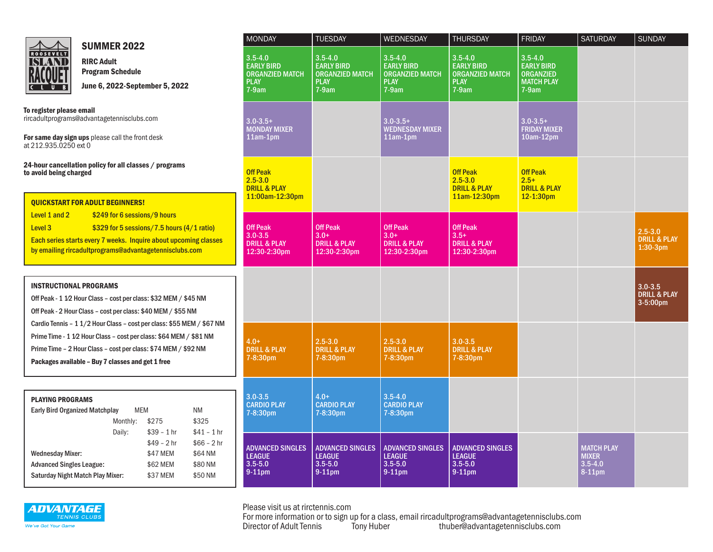

SUMMER 2022

RIRC Adult Program Schedule June 6, 2022-September 5, 2022

To register please email rircadultprograms@advantagetennisclubs.com

For same day sign ups please call the front desk at 212.935.0250 ext 0

24-hour cancellation policy for all classes / programs to avoid being charged

QUICKSTART FOR ADULT BEGINNERS! Level 1 and 2 \$249 for 6 sessions/9 hours Level 3  $$329$  for 5 sessions/7.5 hours (4/1 ratio) Each series starts every 7 weeks. Inquire about upcoming classes by emailing rircadultprograms@advantagetennisclubs.com

| <b>INSTRUCTIONAL PROGRAMS</b>                                         |
|-----------------------------------------------------------------------|
| Off Peak - 1 1/2 Hour Class - cost per class: \$32 MEM / \$45 NM      |
| Off Peak - 2 Hour Class - cost per class: \$40 MEM / \$55 NM          |
| Cardio Tennis - 1 1/2 Hour Class - cost per class: \$55 MEM / \$67 NM |
| Prime Time - 1 1/2 Hour Class - cost per class: \$64 MEM / \$81 NM    |
| Prime Time - 2 Hour Class - cost per class: \$74 MEM / \$92 NM        |

Packages available – Buy 7 classes and get 1 free

| <b>PLAYING PROGRAMS</b>               |          |              |              |  |  |  |  |  |
|---------------------------------------|----------|--------------|--------------|--|--|--|--|--|
| <b>Early Bird Organized Matchplay</b> | MEM      |              | ΝM           |  |  |  |  |  |
|                                       | Monthly: | \$275        | \$325        |  |  |  |  |  |
|                                       | Daily:   | $$39 - 1hr$  | $$41 - 1hr$  |  |  |  |  |  |
|                                       |          | $$49 - 2 hr$ | $$66 - 2 hr$ |  |  |  |  |  |
| <b>Wednesday Mixer:</b>               |          | \$47 MEM     | \$64 NM      |  |  |  |  |  |
| <b>Advanced Singles League:</b>       |          | \$62 MEM     | \$80 NM      |  |  |  |  |  |
| Saturday Night Match Play Mixer:      | \$37 MEM | \$50 NM      |              |  |  |  |  |  |

| <b>MONDAY</b>                                                                        | <b>TUESDAY</b>                                                                       | <b>WEDNESDAY</b>                                                                     | <b>THURSDAY</b>                                                                      | <b>FRIDAY</b>                                                                        | <b>SATURDAY</b>                                               | <b>SUNDAY</b>                                      |
|--------------------------------------------------------------------------------------|--------------------------------------------------------------------------------------|--------------------------------------------------------------------------------------|--------------------------------------------------------------------------------------|--------------------------------------------------------------------------------------|---------------------------------------------------------------|----------------------------------------------------|
| $3.5 - 4.0$<br><b>EARLY BIRD</b><br><b>ORGANZIED MATCH</b><br><b>PLAY</b><br>$7-9am$ | $3.5 - 4.0$<br><b>EARLY BIRD</b><br><b>ORGANZIED MATCH</b><br><b>PLAY</b><br>$7-9am$ | $3.5 - 4.0$<br><b>EARLY BIRD</b><br><b>ORGANZIED MATCH</b><br><b>PLAY</b><br>$7-9am$ | $3.5 - 4.0$<br><b>EARLY BIRD</b><br><b>ORGANZIED MATCH</b><br><b>PLAY</b><br>$7-9am$ | $3.5 - 4.0$<br><b>EARLY BIRD</b><br><b>ORGANZIED</b><br><b>MATCH PLAY</b><br>$7-9am$ |                                                               |                                                    |
| $3.0 - 3.5 +$<br><b>MONDAY MIXER</b><br>11am-1pm                                     |                                                                                      | $3.0 - 3.5 +$<br><b>WEDNESDAY MIXER</b><br>11am-1pm                                  |                                                                                      | $3.0 - 3.5 +$<br><b>FRIDAY MIXER</b><br>$10am-12pm$                                  |                                                               |                                                    |
| <b>Off Peak</b><br>$2.5 - 3.0$<br><b>DRILL &amp; PLAY</b><br>11:00am-12:30pm         |                                                                                      |                                                                                      | <b>Off Peak</b><br>$2.5 - 3.0$<br><b>DRILL &amp; PLAY</b><br>11am-12:30pm            | <b>Off Peak</b><br>$2.5+$<br><b>DRILL &amp; PLAY</b><br>$12 - 1:30pm$                |                                                               |                                                    |
| <b>Off Peak</b><br>$3.0 - 3.5$<br><b>DRILL &amp; PLAY</b><br>12:30-2:30pm            | Off Peak<br>$3.0+$<br><b>DRILL &amp; PLAY</b><br>12:30-2:30pm                        | <b>Off Peak</b><br>$3.0+$<br><b>DRILL &amp; PLAY</b><br>12:30-2:30pm                 | <b>Off Peak</b><br>$3.5+$<br><b>DRILL &amp; PLAY</b><br>12:30-2:30pm                 |                                                                                      |                                                               | $2.5 - 3.0$<br><b>DRILL &amp; PLAY</b><br>1:30-3pm |
|                                                                                      |                                                                                      |                                                                                      |                                                                                      |                                                                                      |                                                               | $3.0 - 3.5$<br><b>DRILL &amp; PLAY</b><br>3-5:00pm |
| $4.0+$<br><b>DRILL &amp; PLAY</b><br>7-8:30pm                                        | $2.5 - 3.0$<br><b>DRILL &amp; PLAY</b><br>7-8:30pm                                   | $2.5 - 3.0$<br><b>DRILL &amp; PLAY</b><br>7-8:30pm                                   | $3.0 - 3.5$<br><b>DRILL &amp; PLAY</b><br>7-8:30pm                                   |                                                                                      |                                                               |                                                    |
| $3.0 - 3.5$<br><b>CARDIO PLAY</b><br>7-8:30pm                                        | $4.0+$<br><b>CARDIO PLAY</b><br>7-8:30pm                                             | $3.5 - 4.0$<br><b>CARDIO PLAY</b><br>7-8:30pm                                        |                                                                                      |                                                                                      |                                                               |                                                    |
| <b>ADVANCED SINGLES</b><br><b>LEAGUE</b><br>$3.5 - 5.0$<br>9-11pm                    | <b>ADVANCED SINGLES</b><br><b>LEAGUE</b><br>$3.5 - 5.0$<br>9-11pm                    | <b>ADVANCED SINGLES</b><br><b>LEAGUE</b><br>$3.5 - 5.0$<br>$9-11$ pm                 | <b>ADVANCED SINGLES</b><br><b>LEAGUE</b><br>$3.5 - 5.0$<br>9-11pm                    |                                                                                      | <b>MATCH PLAY</b><br><b>MIXER</b><br>$3.5 - 4.0$<br>$8-11$ pm |                                                    |



Please visit us at rirctennis.com

For more information or to sign up for a class, email rircadultprograms@advantagetennisclubs.com<br>Director of Adult Tennis Tony Huber thuber@advantagetennisclubs.com thuber@advantagetennisclubs.com